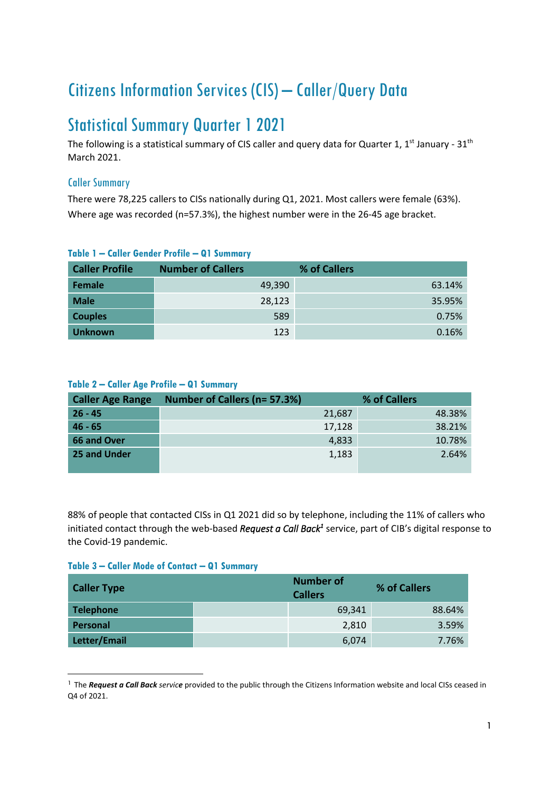# Citizens Information Services (CIS) – Caller/Query Data

## Statistical Summary Quarter 1 2021

The following is a statistical summary of CIS caller and query data for Quarter 1, 1<sup>st</sup> January - 31<sup>th</sup> March 2021.

## Caller Summary

There were 78,225 callers to CISs nationally during Q1, 2021. Most callers were female (63%). Where age was recorded (n=57.3%), the highest number were in the 26-45 age bracket.

| <b>Caller Profile</b> | <b>Number of Callers</b> | % of Callers |
|-----------------------|--------------------------|--------------|
| Female                | 49,390                   | 63.14%       |
| <b>Male</b>           | 28,123                   | 35.95%       |
| <b>Couples</b>        | 589                      | 0.75%        |
| <b>Unknown</b>        | 123                      | 0.16%        |

## **Table 1 – Caller Gender Profile – Q1 Summary**

#### **Table 2 – Caller Age Profile – Q1 Summary**

| <b>Caller Age Range</b> | Number of Callers (n= 57.3%) |        | % of Callers |
|-------------------------|------------------------------|--------|--------------|
| $26 - 45$               |                              | 21,687 | 48.38%       |
| $46 - 65$               |                              | 17,128 | 38.21%       |
| 66 and Over             |                              | 4,833  | 10.78%       |
| 25 and Under            |                              | 1,183  | 2.64%        |
|                         |                              |        |              |

88% of people that contacted CISs in Q1 2021 did so by telephone, including the 11% of callers who initiated contact through the web-based *Request a Call Back<sup>1</sup>* service, part of CIB's digital response to the Covid-19 pandemic.

#### **Table 3 – Caller Mode of Contact – Q1 Summary**

| <b>Caller Type</b> | <b>Number of</b><br><b>Callers</b> | % of Callers |
|--------------------|------------------------------------|--------------|
| <b>Telephone</b>   | 69,341                             | 88.64%       |
| <b>Personal</b>    | 2,810                              | 3.59%        |
| Letter/Email       | 6,074                              | 7.76%        |

<sup>&</sup>lt;sup>1</sup> The *Request a Call Back service* provided to the public through the Citizens Information website and local CISs ceased in Q4 of 2021.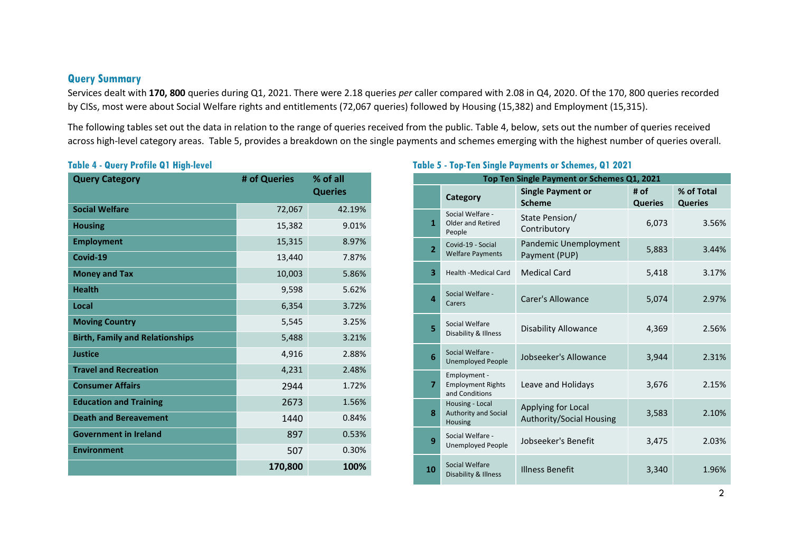#### **Query Summary**

Services dealt with **170, 800** queries during Q1, 2021. There were 2.18 queries *per* caller compared with 2.08 in Q4, 2020. Of the 170, 800 queries recorded by CISs, most were about Social Welfare rights and entitlements (72,067 queries) followed by Housing (15,382) and Employment (15,315).

The following tables set out the data in relation to the range of queries received from the public. Table 4, below, sets out the number of queries received across high-level category areas. Table 5, provides a breakdown on the single payments and schemes emerging with the highest number of queries overall.

#### **Table 4 - Query Profile Q1 High-level**

| <b>Query Category</b>                  | # of Queries | % of all<br><b>Queries</b> |
|----------------------------------------|--------------|----------------------------|
| <b>Social Welfare</b>                  | 72,067       | 42.19%                     |
| <b>Housing</b>                         | 15,382       | 9.01%                      |
| <b>Employment</b>                      | 15,315       | 8.97%                      |
| Covid-19                               | 13,440       | 7.87%                      |
| <b>Money and Tax</b>                   | 10,003       | 5.86%                      |
| <b>Health</b>                          | 9,598        | 5.62%                      |
| Local                                  | 6,354        | 3.72%                      |
| <b>Moving Country</b>                  | 5,545        | 3.25%                      |
| <b>Birth, Family and Relationships</b> | 5,488        | 3.21%                      |
| <b>Justice</b>                         | 4,916        | 2.88%                      |
| <b>Travel and Recreation</b>           | 4,231        | 2.48%                      |
| <b>Consumer Affairs</b>                | 2944         | 1.72%                      |
| <b>Education and Training</b>          | 2673         | 1.56%                      |
| <b>Death and Bereavement</b>           | 1440         | 0.84%                      |
| <b>Government in Ireland</b>           | 897          | 0.53%                      |
| <b>Environment</b>                     | 507          | 0.30%                      |
|                                        | 170,800      | 100%                       |

## **Table 5 - Top-Ten Single Payments or Schemes, Q1 2021**

|                         | Top Ten Single Payment or Schemes Q1, 2021                 |                                                       |                        |                              |  |  |
|-------------------------|------------------------------------------------------------|-------------------------------------------------------|------------------------|------------------------------|--|--|
|                         | Category                                                   | <b>Single Payment or</b><br><b>Scheme</b>             | # of<br><b>Queries</b> | % of Total<br><b>Queries</b> |  |  |
| $\mathbf{1}$            | Social Welfare -<br>Older and Retired<br>People            | State Pension/<br>Contributory                        | 6,073                  | 3.56%                        |  |  |
| $\overline{2}$          | Covid-19 - Social<br><b>Welfare Payments</b>               | Pandemic Unemployment<br>Payment (PUP)                | 5,883                  | 3.44%                        |  |  |
| $\overline{\mathbf{3}}$ | <b>Health -Medical Card</b>                                | <b>Medical Card</b>                                   | 5,418                  | 3.17%                        |  |  |
| $\overline{a}$          | Social Welfare -<br>Carers                                 | Carer's Allowance                                     | 5,074                  | 2.97%                        |  |  |
| 5                       | Social Welfare<br>Disability & Illness                     | <b>Disability Allowance</b>                           | 4,369                  | 2.56%                        |  |  |
| 6                       | Social Welfare -<br><b>Unemployed People</b>               | Jobseeker's Allowance                                 | 3,944                  | 2.31%                        |  |  |
| $\overline{7}$          | Employment -<br><b>Employment Rights</b><br>and Conditions | Leave and Holidays                                    | 3,676                  | 2.15%                        |  |  |
| 8                       | Housing - Local<br><b>Authority and Social</b><br>Housing  | Applying for Local<br><b>Authority/Social Housing</b> | 3,583                  | 2.10%                        |  |  |
| 9                       | Social Welfare -<br><b>Unemployed People</b>               | Jobseeker's Benefit                                   | 3,475                  | 2.03%                        |  |  |
| 10                      | Social Welfare<br>Disability & Illness                     | <b>Illness Benefit</b>                                | 3,340                  | 1.96%                        |  |  |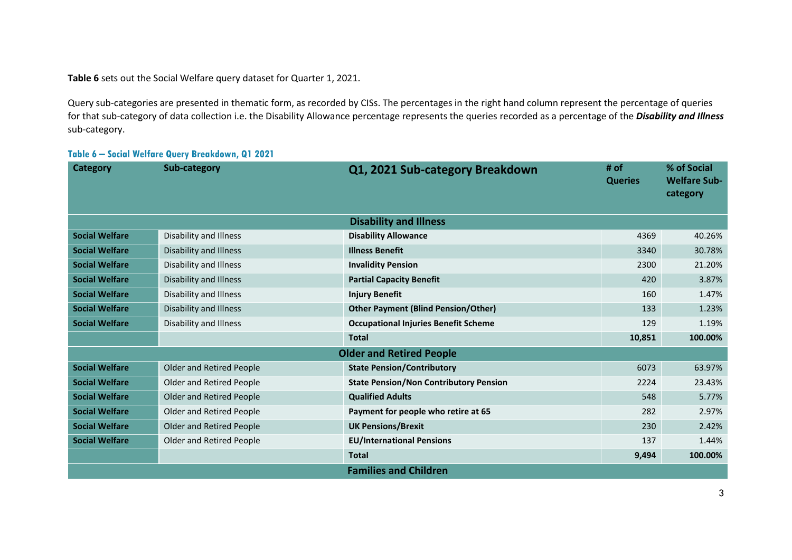**Table 6** sets out the Social Welfare query dataset for Quarter 1, 2021.

Query sub-categories are presented in thematic form, as recorded by CISs. The percentages in the right hand column represent the percentage of queries for that sub-category of data collection i.e. the Disability Allowance percentage represents the queries recorded as a percentage of the *Disability and Illness* sub-category.

| <b>Category</b>       | Sub-category             | Q1, 2021 Sub-category Breakdown               | # of<br><b>Queries</b> | % of Social<br><b>Welfare Sub-</b><br>category |
|-----------------------|--------------------------|-----------------------------------------------|------------------------|------------------------------------------------|
|                       |                          | <b>Disability and Illness</b>                 |                        |                                                |
| <b>Social Welfare</b> | Disability and Illness   | <b>Disability Allowance</b>                   | 4369                   | 40.26%                                         |
| <b>Social Welfare</b> | Disability and Illness   | <b>Illness Benefit</b>                        | 3340                   | 30.78%                                         |
| <b>Social Welfare</b> | Disability and Illness   | <b>Invalidity Pension</b>                     | 2300                   | 21.20%                                         |
| <b>Social Welfare</b> | Disability and Illness   | <b>Partial Capacity Benefit</b>               | 420                    | 3.87%                                          |
| <b>Social Welfare</b> | Disability and Illness   | <b>Injury Benefit</b>                         | 160                    | 1.47%                                          |
| <b>Social Welfare</b> | Disability and Illness   | <b>Other Payment (Blind Pension/Other)</b>    | 133                    | 1.23%                                          |
| <b>Social Welfare</b> | Disability and Illness   | <b>Occupational Injuries Benefit Scheme</b>   | 129                    | 1.19%                                          |
|                       |                          | <b>Total</b>                                  | 10,851                 | 100.00%                                        |
|                       |                          | <b>Older and Retired People</b>               |                        |                                                |
| <b>Social Welfare</b> | Older and Retired People | <b>State Pension/Contributory</b>             | 6073                   | 63.97%                                         |
| <b>Social Welfare</b> | Older and Retired People | <b>State Pension/Non Contributory Pension</b> | 2224                   | 23.43%                                         |
| <b>Social Welfare</b> | Older and Retired People | <b>Qualified Adults</b>                       | 548                    | 5.77%                                          |
| <b>Social Welfare</b> | Older and Retired People | Payment for people who retire at 65           | 282                    | 2.97%                                          |
| <b>Social Welfare</b> | Older and Retired People | <b>UK Pensions/Brexit</b>                     | 230                    | 2.42%                                          |
| <b>Social Welfare</b> | Older and Retired People | <b>EU/International Pensions</b>              | 137                    | 1.44%                                          |
|                       |                          | <b>Total</b>                                  | 9,494                  | 100.00%                                        |
|                       |                          | <b>Families and Children</b>                  |                        |                                                |

#### **Table 6 – Social Welfare Query Breakdown, Q1 2021**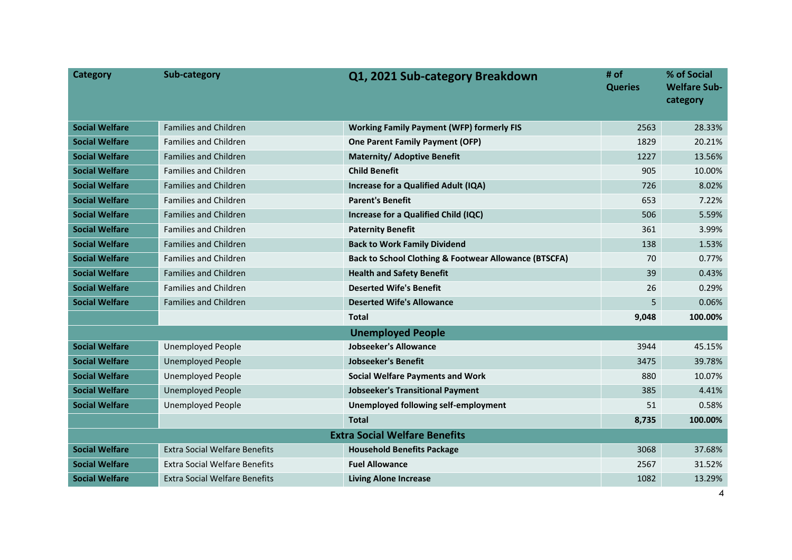| <b>Category</b>       | Sub-category                         | Q1, 2021 Sub-category Breakdown                                  | # of<br><b>Queries</b> | % of Social<br><b>Welfare Sub-</b><br>category |
|-----------------------|--------------------------------------|------------------------------------------------------------------|------------------------|------------------------------------------------|
| <b>Social Welfare</b> | <b>Families and Children</b>         | <b>Working Family Payment (WFP) formerly FIS</b>                 | 2563                   | 28.33%                                         |
| <b>Social Welfare</b> | <b>Families and Children</b>         | <b>One Parent Family Payment (OFP)</b>                           | 1829                   | 20.21%                                         |
| <b>Social Welfare</b> | <b>Families and Children</b>         | <b>Maternity/ Adoptive Benefit</b>                               | 1227                   | 13.56%                                         |
| <b>Social Welfare</b> | <b>Families and Children</b>         | <b>Child Benefit</b>                                             | 905                    | 10.00%                                         |
| <b>Social Welfare</b> | <b>Families and Children</b>         | Increase for a Qualified Adult (IQA)                             | 726                    | 8.02%                                          |
| <b>Social Welfare</b> | <b>Families and Children</b>         | <b>Parent's Benefit</b>                                          | 653                    | 7.22%                                          |
| <b>Social Welfare</b> | <b>Families and Children</b>         | Increase for a Qualified Child (IQC)                             | 506                    | 5.59%                                          |
| <b>Social Welfare</b> | <b>Families and Children</b>         | <b>Paternity Benefit</b>                                         | 361                    | 3.99%                                          |
| <b>Social Welfare</b> | <b>Families and Children</b>         | <b>Back to Work Family Dividend</b>                              | 138                    | 1.53%                                          |
| <b>Social Welfare</b> | <b>Families and Children</b>         | <b>Back to School Clothing &amp; Footwear Allowance (BTSCFA)</b> | 70                     | 0.77%                                          |
| <b>Social Welfare</b> | <b>Families and Children</b>         | <b>Health and Safety Benefit</b>                                 | 39                     | 0.43%                                          |
| <b>Social Welfare</b> | Families and Children                | <b>Deserted Wife's Benefit</b>                                   | 26                     | 0.29%                                          |
| <b>Social Welfare</b> | <b>Families and Children</b>         | <b>Deserted Wife's Allowance</b>                                 | 5                      | 0.06%                                          |
|                       |                                      | <b>Total</b>                                                     | 9,048                  | 100.00%                                        |
|                       |                                      | <b>Unemployed People</b>                                         |                        |                                                |
| <b>Social Welfare</b> | <b>Unemployed People</b>             | Jobseeker's Allowance                                            | 3944                   | 45.15%                                         |
| <b>Social Welfare</b> | <b>Unemployed People</b>             | <b>Jobseeker's Benefit</b>                                       | 3475                   | 39.78%                                         |
| <b>Social Welfare</b> | <b>Unemployed People</b>             | <b>Social Welfare Payments and Work</b>                          | 880                    | 10.07%                                         |
| <b>Social Welfare</b> | <b>Unemployed People</b>             | <b>Jobseeker's Transitional Payment</b>                          | 385                    | 4.41%                                          |
| <b>Social Welfare</b> | <b>Unemployed People</b>             | Unemployed following self-employment                             | 51                     | 0.58%                                          |
|                       |                                      | <b>Total</b>                                                     | 8,735                  | 100.00%                                        |
|                       |                                      | <b>Extra Social Welfare Benefits</b>                             |                        |                                                |
| <b>Social Welfare</b> | <b>Extra Social Welfare Benefits</b> | <b>Household Benefits Package</b>                                | 3068                   | 37.68%                                         |
| <b>Social Welfare</b> | <b>Extra Social Welfare Benefits</b> | <b>Fuel Allowance</b>                                            | 2567                   | 31.52%                                         |
| <b>Social Welfare</b> | <b>Extra Social Welfare Benefits</b> | <b>Living Alone Increase</b>                                     | 1082                   | 13.29%                                         |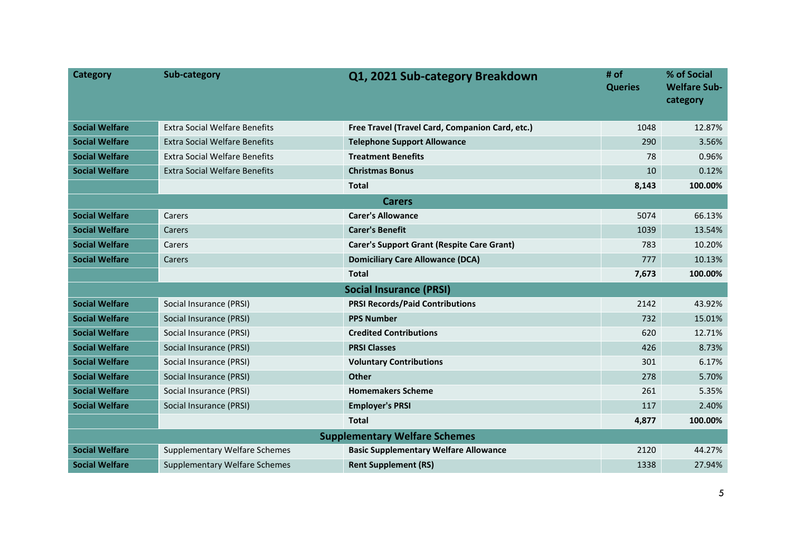| <b>Category</b>       | Sub-category                         | Q1, 2021 Sub-category Breakdown                   | # of<br><b>Queries</b> | % of Social<br><b>Welfare Sub-</b><br>category |  |
|-----------------------|--------------------------------------|---------------------------------------------------|------------------------|------------------------------------------------|--|
| <b>Social Welfare</b> | <b>Extra Social Welfare Benefits</b> | Free Travel (Travel Card, Companion Card, etc.)   | 1048                   | 12.87%                                         |  |
| <b>Social Welfare</b> | <b>Extra Social Welfare Benefits</b> | <b>Telephone Support Allowance</b>                | 290                    | 3.56%                                          |  |
| <b>Social Welfare</b> | <b>Extra Social Welfare Benefits</b> | <b>Treatment Benefits</b>                         | 78                     | 0.96%                                          |  |
| <b>Social Welfare</b> | <b>Extra Social Welfare Benefits</b> | <b>Christmas Bonus</b>                            | 10                     | 0.12%                                          |  |
|                       |                                      | <b>Total</b>                                      | 8,143                  | 100.00%                                        |  |
|                       |                                      | <b>Carers</b>                                     |                        |                                                |  |
| <b>Social Welfare</b> | Carers                               | <b>Carer's Allowance</b>                          | 5074                   | 66.13%                                         |  |
| <b>Social Welfare</b> | Carers                               | <b>Carer's Benefit</b>                            | 1039                   | 13.54%                                         |  |
| <b>Social Welfare</b> | Carers                               | <b>Carer's Support Grant (Respite Care Grant)</b> | 783                    | 10.20%                                         |  |
| <b>Social Welfare</b> | Carers                               | <b>Domiciliary Care Allowance (DCA)</b>           | 777                    | 10.13%                                         |  |
|                       |                                      | <b>Total</b>                                      | 7,673                  | 100.00%                                        |  |
|                       |                                      | <b>Social Insurance (PRSI)</b>                    |                        |                                                |  |
| <b>Social Welfare</b> | Social Insurance (PRSI)              | <b>PRSI Records/Paid Contributions</b>            | 2142                   | 43.92%                                         |  |
| <b>Social Welfare</b> | Social Insurance (PRSI)              | <b>PPS Number</b>                                 | 732                    | 15.01%                                         |  |
| <b>Social Welfare</b> | Social Insurance (PRSI)              | <b>Credited Contributions</b>                     | 620                    | 12.71%                                         |  |
| <b>Social Welfare</b> | Social Insurance (PRSI)              | <b>PRSI Classes</b>                               | 426                    | 8.73%                                          |  |
| <b>Social Welfare</b> | Social Insurance (PRSI)              | <b>Voluntary Contributions</b>                    | 301                    | 6.17%                                          |  |
| <b>Social Welfare</b> | Social Insurance (PRSI)              | <b>Other</b>                                      | 278                    | 5.70%                                          |  |
| <b>Social Welfare</b> | Social Insurance (PRSI)              | <b>Homemakers Scheme</b>                          | 261                    | 5.35%                                          |  |
| <b>Social Welfare</b> | Social Insurance (PRSI)              | <b>Employer's PRSI</b>                            | 117                    | 2.40%                                          |  |
|                       |                                      | <b>Total</b>                                      | 4,877                  | 100.00%                                        |  |
|                       | <b>Supplementary Welfare Schemes</b> |                                                   |                        |                                                |  |
| <b>Social Welfare</b> | <b>Supplementary Welfare Schemes</b> | <b>Basic Supplementary Welfare Allowance</b>      | 2120                   | 44.27%                                         |  |
| <b>Social Welfare</b> | <b>Supplementary Welfare Schemes</b> | <b>Rent Supplement (RS)</b>                       | 1338                   | 27.94%                                         |  |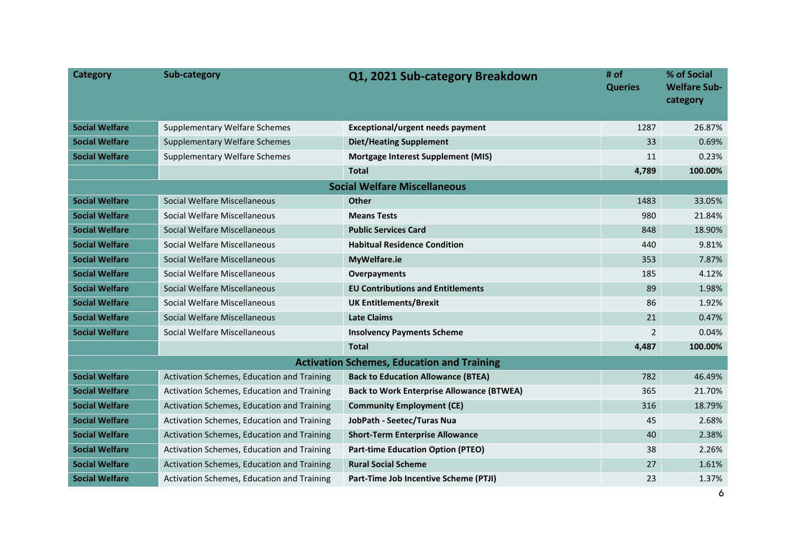| <b>Category</b>       | Sub-category                               | Q1, 2021 Sub-category Breakdown                   | # of<br><b>Queries</b> | % of Social<br><b>Welfare Sub-</b><br>category |
|-----------------------|--------------------------------------------|---------------------------------------------------|------------------------|------------------------------------------------|
| <b>Social Welfare</b> | <b>Supplementary Welfare Schemes</b>       | <b>Exceptional/urgent needs payment</b>           | 1287                   | 26.87%                                         |
| <b>Social Welfare</b> | <b>Supplementary Welfare Schemes</b>       | <b>Diet/Heating Supplement</b>                    | 33                     | $0.69\%$                                       |
| <b>Social Welfare</b> | Supplementary Welfare Schemes              | <b>Mortgage Interest Supplement (MIS)</b>         | 11                     | 0.23%                                          |
|                       |                                            | <b>Total</b>                                      | 4,789                  | 100.00%                                        |
|                       |                                            | <b>Social Welfare Miscellaneous</b>               |                        |                                                |
| <b>Social Welfare</b> | Social Welfare Miscellaneous               | <b>Other</b>                                      | 1483                   | 33.05%                                         |
| <b>Social Welfare</b> | Social Welfare Miscellaneous               | <b>Means Tests</b>                                | 980                    | 21.84%                                         |
| <b>Social Welfare</b> | Social Welfare Miscellaneous               | <b>Public Services Card</b>                       | 848                    | 18.90%                                         |
| <b>Social Welfare</b> | Social Welfare Miscellaneous               | <b>Habitual Residence Condition</b>               | 440                    | 9.81%                                          |
| <b>Social Welfare</b> | Social Welfare Miscellaneous               | MyWelfare.ie                                      | 353                    | 7.87%                                          |
| <b>Social Welfare</b> | Social Welfare Miscellaneous               | Overpayments                                      | 185                    | 4.12%                                          |
| <b>Social Welfare</b> | Social Welfare Miscellaneous               | <b>EU Contributions and Entitlements</b>          | 89                     | 1.98%                                          |
| <b>Social Welfare</b> | Social Welfare Miscellaneous               | <b>UK Entitlements/Brexit</b>                     | 86                     | 1.92%                                          |
| <b>Social Welfare</b> | Social Welfare Miscellaneous               | <b>Late Claims</b>                                | 21                     | 0.47%                                          |
| <b>Social Welfare</b> | Social Welfare Miscellaneous               | <b>Insolvency Payments Scheme</b>                 | 2                      | 0.04%                                          |
|                       |                                            | <b>Total</b>                                      | 4,487                  | 100.00%                                        |
|                       |                                            | <b>Activation Schemes, Education and Training</b> |                        |                                                |
| <b>Social Welfare</b> | Activation Schemes, Education and Training | <b>Back to Education Allowance (BTEA)</b>         | 782                    | 46.49%                                         |
| <b>Social Welfare</b> | Activation Schemes, Education and Training | <b>Back to Work Enterprise Allowance (BTWEA)</b>  | 365                    | 21.70%                                         |
| <b>Social Welfare</b> | Activation Schemes, Education and Training | <b>Community Employment (CE)</b>                  | 316                    | 18.79%                                         |
| <b>Social Welfare</b> | Activation Schemes, Education and Training | JobPath - Seetec/Turas Nua                        | 45                     | 2.68%                                          |
| <b>Social Welfare</b> | Activation Schemes, Education and Training | <b>Short-Term Enterprise Allowance</b>            | 40                     | 2.38%                                          |
| <b>Social Welfare</b> | Activation Schemes, Education and Training | <b>Part-time Education Option (PTEO)</b>          | 38                     | 2.26%                                          |
| <b>Social Welfare</b> | Activation Schemes, Education and Training | <b>Rural Social Scheme</b>                        | 27                     | 1.61%                                          |
| <b>Social Welfare</b> | Activation Schemes, Education and Training | Part-Time Job Incentive Scheme (PTJI)             | 23                     | 1.37%                                          |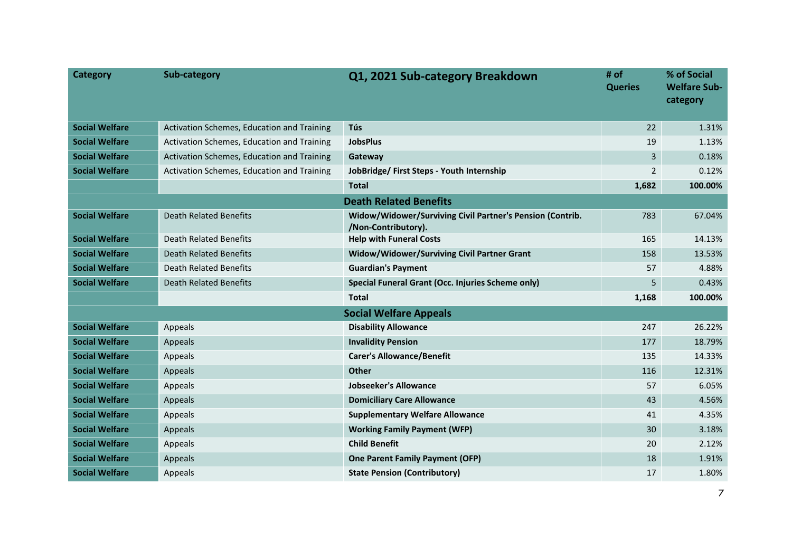| <b>Category</b>       | Sub-category                               | Q1, 2021 Sub-category Breakdown                                                  | # of<br><b>Queries</b> | % of Social<br><b>Welfare Sub-</b><br>category |
|-----------------------|--------------------------------------------|----------------------------------------------------------------------------------|------------------------|------------------------------------------------|
| <b>Social Welfare</b> | Activation Schemes, Education and Training | Tús                                                                              | 22                     | 1.31%                                          |
| <b>Social Welfare</b> | Activation Schemes, Education and Training | <b>JobsPlus</b>                                                                  | 19                     | 1.13%                                          |
| <b>Social Welfare</b> | Activation Schemes, Education and Training | Gateway                                                                          | 3                      | 0.18%                                          |
| <b>Social Welfare</b> | Activation Schemes, Education and Training | JobBridge/ First Steps - Youth Internship                                        | $\overline{2}$         | 0.12%                                          |
|                       |                                            | <b>Total</b>                                                                     | 1,682                  | 100.00%                                        |
|                       |                                            | <b>Death Related Benefits</b>                                                    |                        |                                                |
| <b>Social Welfare</b> | Death Related Benefits                     | Widow/Widower/Surviving Civil Partner's Pension (Contrib.<br>/Non-Contributory). | 783                    | 67.04%                                         |
| <b>Social Welfare</b> | Death Related Benefits                     | <b>Help with Funeral Costs</b>                                                   | 165                    | 14.13%                                         |
| <b>Social Welfare</b> | <b>Death Related Benefits</b>              | Widow/Widower/Surviving Civil Partner Grant                                      | 158                    | 13.53%                                         |
| <b>Social Welfare</b> | Death Related Benefits                     | <b>Guardian's Payment</b>                                                        | 57                     | 4.88%                                          |
| <b>Social Welfare</b> | <b>Death Related Benefits</b>              | Special Funeral Grant (Occ. Injuries Scheme only)                                | 5                      | 0.43%                                          |
|                       |                                            | <b>Total</b>                                                                     | 1,168                  | 100.00%                                        |
|                       |                                            | <b>Social Welfare Appeals</b>                                                    |                        |                                                |
| <b>Social Welfare</b> | Appeals                                    | <b>Disability Allowance</b>                                                      | 247                    | 26.22%                                         |
| <b>Social Welfare</b> | Appeals                                    | <b>Invalidity Pension</b>                                                        | 177                    | 18.79%                                         |
| <b>Social Welfare</b> | Appeals                                    | <b>Carer's Allowance/Benefit</b>                                                 | 135                    | 14.33%                                         |
| <b>Social Welfare</b> | Appeals                                    | <b>Other</b>                                                                     | 116                    | 12.31%                                         |
| <b>Social Welfare</b> | Appeals                                    | <b>Jobseeker's Allowance</b>                                                     | 57                     | 6.05%                                          |
| <b>Social Welfare</b> | Appeals                                    | <b>Domiciliary Care Allowance</b>                                                | 43                     | 4.56%                                          |
| <b>Social Welfare</b> | Appeals                                    | <b>Supplementary Welfare Allowance</b>                                           | 41                     | 4.35%                                          |
| <b>Social Welfare</b> | Appeals                                    | <b>Working Family Payment (WFP)</b>                                              | 30                     | 3.18%                                          |
| <b>Social Welfare</b> | Appeals                                    | <b>Child Benefit</b>                                                             | 20                     | 2.12%                                          |
| <b>Social Welfare</b> | Appeals                                    | <b>One Parent Family Payment (OFP)</b>                                           | 18                     | 1.91%                                          |
| <b>Social Welfare</b> | Appeals                                    | <b>State Pension (Contributory)</b>                                              | 17                     | 1.80%                                          |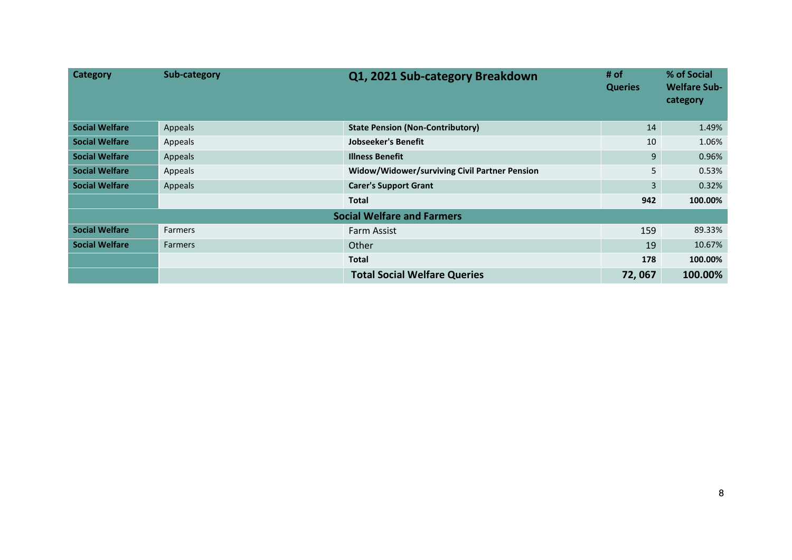| <b>Category</b>       | Sub-category   | Q1, 2021 Sub-category Breakdown               | # of<br><b>Queries</b> | % of Social<br><b>Welfare Sub-</b><br>category |
|-----------------------|----------------|-----------------------------------------------|------------------------|------------------------------------------------|
| <b>Social Welfare</b> | Appeals        | <b>State Pension (Non-Contributory)</b>       | 14                     | 1.49%                                          |
| <b>Social Welfare</b> | Appeals        | <b>Jobseeker's Benefit</b>                    | 10                     | 1.06%                                          |
| <b>Social Welfare</b> | Appeals        | <b>Illness Benefit</b>                        | 9                      | 0.96%                                          |
| <b>Social Welfare</b> | Appeals        | Widow/Widower/surviving Civil Partner Pension | 5                      | 0.53%                                          |
| <b>Social Welfare</b> | Appeals        | <b>Carer's Support Grant</b>                  | 3                      | 0.32%                                          |
|                       |                | <b>Total</b>                                  | 942                    | 100.00%                                        |
|                       |                | <b>Social Welfare and Farmers</b>             |                        |                                                |
| <b>Social Welfare</b> | <b>Farmers</b> | <b>Farm Assist</b>                            | 159                    | 89.33%                                         |
| <b>Social Welfare</b> | <b>Farmers</b> | Other                                         | 19                     | 10.67%                                         |
|                       |                | <b>Total</b>                                  | 178                    | 100.00%                                        |
|                       |                | <b>Total Social Welfare Queries</b>           | 72,067                 | 100.00%                                        |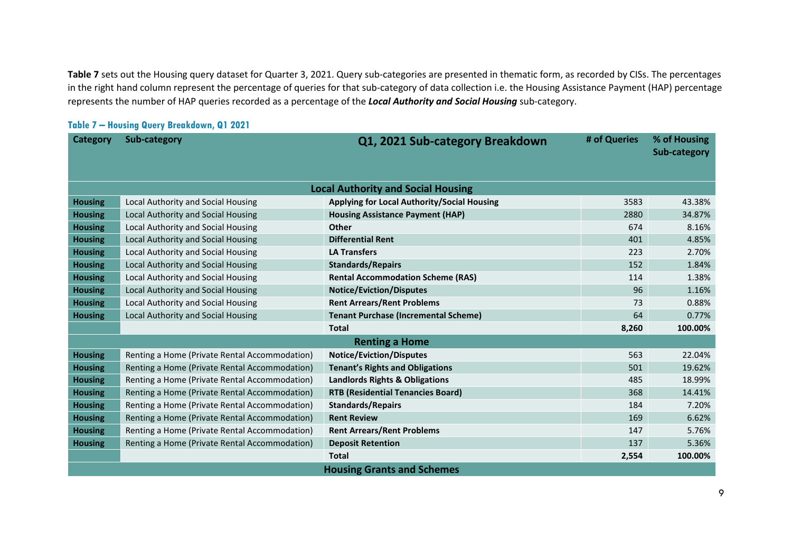**Table 7** sets out the Housing query dataset for Quarter 3, 2021. Query sub-categories are presented in thematic form, as recorded by CISs. The percentages in the right hand column represent the percentage of queries for that sub-category of data collection i.e. the Housing Assistance Payment (HAP) percentage represents the number of HAP queries recorded as a percentage of the *Local Authority and Social Housing* sub-category.

#### **Table 7 – Housing Query Breakdown, Q1 2021**

| Category       | Sub-category                                  | Q1, 2021 Sub-category Breakdown             | # of Queries | % of Housing<br>Sub-category |
|----------------|-----------------------------------------------|---------------------------------------------|--------------|------------------------------|
|                |                                               | <b>Local Authority and Social Housing</b>   |              |                              |
| <b>Housing</b> | Local Authority and Social Housing            | Applying for Local Authority/Social Housing | 3583         | 43.38%                       |
| <b>Housing</b> | Local Authority and Social Housing            | <b>Housing Assistance Payment (HAP)</b>     | 2880         | 34.87%                       |
| <b>Housing</b> | Local Authority and Social Housing            | Other                                       | 674          | 8.16%                        |
| <b>Housing</b> | Local Authority and Social Housing            | <b>Differential Rent</b>                    | 401          | 4.85%                        |
| <b>Housing</b> | Local Authority and Social Housing            | <b>LA Transfers</b>                         | 223          | 2.70%                        |
| <b>Housing</b> | Local Authority and Social Housing            | <b>Standards/Repairs</b>                    | 152          | 1.84%                        |
| <b>Housing</b> | Local Authority and Social Housing            | <b>Rental Accommodation Scheme (RAS)</b>    | 114          | 1.38%                        |
| <b>Housing</b> | Local Authority and Social Housing            | <b>Notice/Eviction/Disputes</b>             | 96           | 1.16%                        |
| <b>Housing</b> | Local Authority and Social Housing            | <b>Rent Arrears/Rent Problems</b>           | 73           | 0.88%                        |
| <b>Housing</b> | Local Authority and Social Housing            | <b>Tenant Purchase (Incremental Scheme)</b> | 64           | 0.77%                        |
|                |                                               | <b>Total</b>                                | 8,260        | 100.00%                      |
|                |                                               | <b>Renting a Home</b>                       |              |                              |
| <b>Housing</b> | Renting a Home (Private Rental Accommodation) | <b>Notice/Eviction/Disputes</b>             | 563          | 22.04%                       |
| <b>Housing</b> | Renting a Home (Private Rental Accommodation) | <b>Tenant's Rights and Obligations</b>      | 501          | 19.62%                       |
| <b>Housing</b> | Renting a Home (Private Rental Accommodation) | <b>Landlords Rights &amp; Obligations</b>   | 485          | 18.99%                       |
| <b>Housing</b> | Renting a Home (Private Rental Accommodation) | <b>RTB (Residential Tenancies Board)</b>    | 368          | 14.41%                       |
| <b>Housing</b> | Renting a Home (Private Rental Accommodation) | <b>Standards/Repairs</b>                    | 184          | 7.20%                        |
| <b>Housing</b> | Renting a Home (Private Rental Accommodation) | <b>Rent Review</b>                          | 169          | 6.62%                        |
| <b>Housing</b> | Renting a Home (Private Rental Accommodation) | <b>Rent Arrears/Rent Problems</b>           | 147          | 5.76%                        |
| <b>Housing</b> | Renting a Home (Private Rental Accommodation) | <b>Deposit Retention</b>                    | 137          | 5.36%                        |
|                |                                               | <b>Total</b>                                | 2,554        | 100.00%                      |
|                |                                               | <b>Housing Grants and Schemes</b>           |              |                              |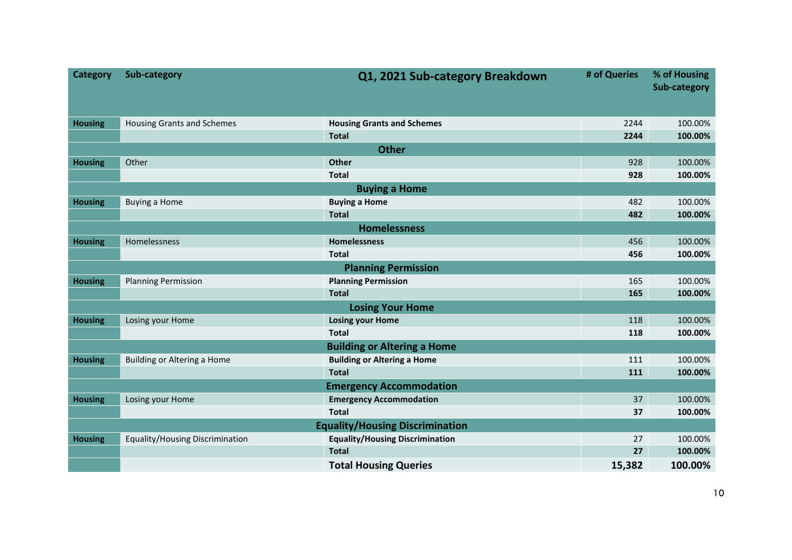| <b>Category</b>                        | Sub-category                      | Q1, 2021 Sub-category Breakdown        | # of Queries | % of Housing<br>Sub-category |  |  |  |
|----------------------------------------|-----------------------------------|----------------------------------------|--------------|------------------------------|--|--|--|
| <b>Housing</b>                         | <b>Housing Grants and Schemes</b> | <b>Housing Grants and Schemes</b>      | 2244         | 100.00%                      |  |  |  |
|                                        |                                   | <b>Total</b>                           | 2244         | 100.00%                      |  |  |  |
|                                        |                                   | <b>Other</b>                           |              |                              |  |  |  |
| <b>Housing</b>                         | Other                             | Other                                  | 928          | 100.00%                      |  |  |  |
|                                        |                                   | <b>Total</b>                           | 928          | 100.00%                      |  |  |  |
| <b>Buying a Home</b>                   |                                   |                                        |              |                              |  |  |  |
| <b>Housing</b>                         | <b>Buying a Home</b>              | <b>Buying a Home</b>                   | 482          | 100.00%                      |  |  |  |
|                                        |                                   | <b>Total</b>                           | 482          | 100.00%                      |  |  |  |
|                                        |                                   | <b>Homelessness</b>                    |              |                              |  |  |  |
| <b>Housing</b>                         | Homelessness                      | <b>Homelessness</b>                    | 456          | 100.00%                      |  |  |  |
|                                        |                                   | <b>Total</b>                           | 456          | 100.00%                      |  |  |  |
| <b>Planning Permission</b>             |                                   |                                        |              |                              |  |  |  |
| <b>Housing</b>                         | <b>Planning Permission</b>        | <b>Planning Permission</b>             | 165          | 100.00%                      |  |  |  |
|                                        |                                   | <b>Total</b>                           | 165          | 100.00%                      |  |  |  |
| <b>Losing Your Home</b>                |                                   |                                        |              |                              |  |  |  |
| <b>Housing</b>                         | Losing your Home                  | <b>Losing your Home</b>                | 118          | 100.00%                      |  |  |  |
|                                        |                                   | <b>Total</b>                           | 118          | 100.00%                      |  |  |  |
| <b>Building or Altering a Home</b>     |                                   |                                        |              |                              |  |  |  |
| <b>Housing</b>                         | Building or Altering a Home       | <b>Building or Altering a Home</b>     | 111          | 100.00%                      |  |  |  |
|                                        |                                   | <b>Total</b>                           | 111          | 100.00%                      |  |  |  |
| <b>Emergency Accommodation</b>         |                                   |                                        |              |                              |  |  |  |
| <b>Housing</b>                         | Losing your Home                  | <b>Emergency Accommodation</b>         | 37           | 100.00%                      |  |  |  |
|                                        |                                   | <b>Total</b>                           | 37           | 100.00%                      |  |  |  |
| <b>Equality/Housing Discrimination</b> |                                   |                                        |              |                              |  |  |  |
| <b>Housing</b>                         | Equality/Housing Discrimination   | <b>Equality/Housing Discrimination</b> | 27           | 100.00%                      |  |  |  |
|                                        |                                   | <b>Total</b>                           | 27           | 100.00%                      |  |  |  |
|                                        |                                   | <b>Total Housing Queries</b>           | 15,382       | 100.00%                      |  |  |  |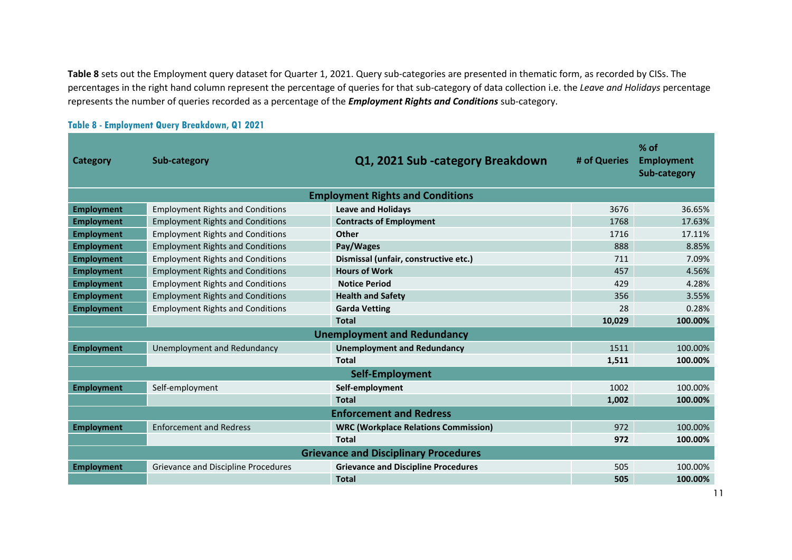**Table 8** sets out the Employment query dataset for Quarter 1, 2021. Query sub-categories are presented in thematic form, as recorded by CISs. The percentages in the right hand column represent the percentage of queries for that sub-category of data collection i.e. the *Leave and Holidays* percentage represents the number of queries recorded as a percentage of the *Employment Rights and Conditions* sub-category.

| Category                                     | Sub-category                            | Q1, 2021 Sub-category Breakdown             | # of Queries | $%$ of<br><b>Employment</b><br>Sub-category |  |  |  |  |
|----------------------------------------------|-----------------------------------------|---------------------------------------------|--------------|---------------------------------------------|--|--|--|--|
|                                              |                                         | <b>Employment Rights and Conditions</b>     |              |                                             |  |  |  |  |
| <b>Employment</b>                            | <b>Employment Rights and Conditions</b> | <b>Leave and Holidays</b>                   | 3676         | 36.65%                                      |  |  |  |  |
| <b>Employment</b>                            | <b>Employment Rights and Conditions</b> | <b>Contracts of Employment</b>              | 1768         | 17.63%                                      |  |  |  |  |
| <b>Employment</b>                            | <b>Employment Rights and Conditions</b> | Other                                       | 1716         | 17.11%                                      |  |  |  |  |
| <b>Employment</b>                            | <b>Employment Rights and Conditions</b> | Pay/Wages                                   | 888          | 8.85%                                       |  |  |  |  |
| <b>Employment</b>                            | <b>Employment Rights and Conditions</b> | Dismissal (unfair, constructive etc.)       | 711          | 7.09%                                       |  |  |  |  |
| <b>Employment</b>                            | <b>Employment Rights and Conditions</b> | <b>Hours of Work</b>                        | 457          | 4.56%                                       |  |  |  |  |
| <b>Employment</b>                            | <b>Employment Rights and Conditions</b> | <b>Notice Period</b>                        | 429          | 4.28%                                       |  |  |  |  |
| <b>Employment</b>                            | <b>Employment Rights and Conditions</b> | <b>Health and Safety</b>                    | 356          | 3.55%                                       |  |  |  |  |
| <b>Employment</b>                            | <b>Employment Rights and Conditions</b> | <b>Garda Vetting</b>                        | 28           | 0.28%                                       |  |  |  |  |
|                                              |                                         | <b>Total</b>                                | 10,029       | 100.00%                                     |  |  |  |  |
| <b>Unemployment and Redundancy</b>           |                                         |                                             |              |                                             |  |  |  |  |
| <b>Employment</b>                            | Unemployment and Redundancy             | <b>Unemployment and Redundancy</b>          | 1511         | 100.00%                                     |  |  |  |  |
|                                              |                                         | <b>Total</b>                                | 1,511        | 100.00%                                     |  |  |  |  |
| Self-Employment                              |                                         |                                             |              |                                             |  |  |  |  |
| <b>Employment</b>                            | Self-employment                         | Self-employment                             | 1002         | 100.00%                                     |  |  |  |  |
|                                              |                                         | <b>Total</b>                                | 1,002        | 100.00%                                     |  |  |  |  |
| <b>Enforcement and Redress</b>               |                                         |                                             |              |                                             |  |  |  |  |
| <b>Employment</b>                            | <b>Enforcement and Redress</b>          | <b>WRC (Workplace Relations Commission)</b> | 972          | 100.00%                                     |  |  |  |  |
|                                              |                                         | <b>Total</b>                                | 972          | 100.00%                                     |  |  |  |  |
| <b>Grievance and Disciplinary Procedures</b> |                                         |                                             |              |                                             |  |  |  |  |
| <b>Employment</b>                            | Grievance and Discipline Procedures     | <b>Grievance and Discipline Procedures</b>  | 505          | 100.00%                                     |  |  |  |  |
|                                              |                                         | <b>Total</b>                                | 505          | 100.00%                                     |  |  |  |  |

#### **Table 8 - Employment Query Breakdown, Q1 2021**